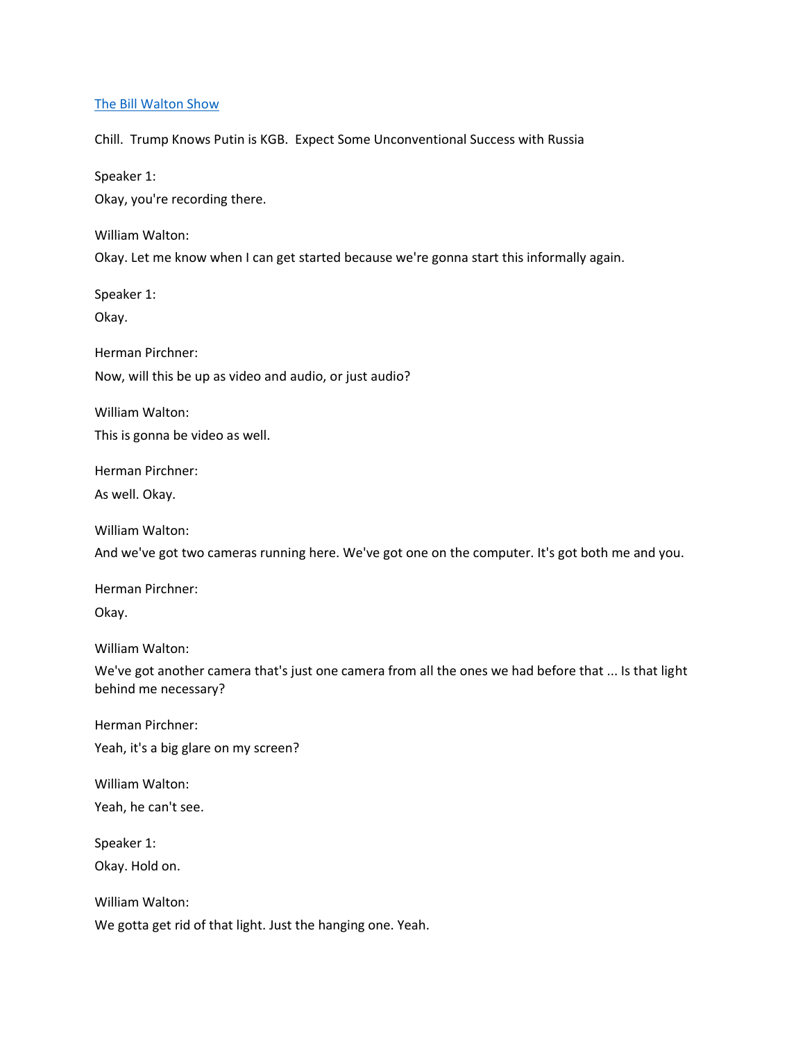### [The Bill Walton Show](https://thebillwaltonshow.com/)

Chill. Trump Knows Putin is KGB. Expect Some Unconventional Success with Russia

Speaker 1:

Okay, you're recording there.

William Walton:

Okay. Let me know when I can get started because we're gonna start this informally again.

Speaker 1:

Okay.

Herman Pirchner:

Now, will this be up as video and audio, or just audio?

William Walton:

This is gonna be video as well.

Herman Pirchner:

As well. Okay.

William Walton:

And we've got two cameras running here. We've got one on the computer. It's got both me and you.

Herman Pirchner: Okay.

William Walton:

We've got another camera that's just one camera from all the ones we had before that ... Is that light behind me necessary?

Herman Pirchner: Yeah, it's a big glare on my screen?

William Walton: Yeah, he can't see.

Speaker 1: Okay. Hold on.

William Walton: We gotta get rid of that light. Just the hanging one. Yeah.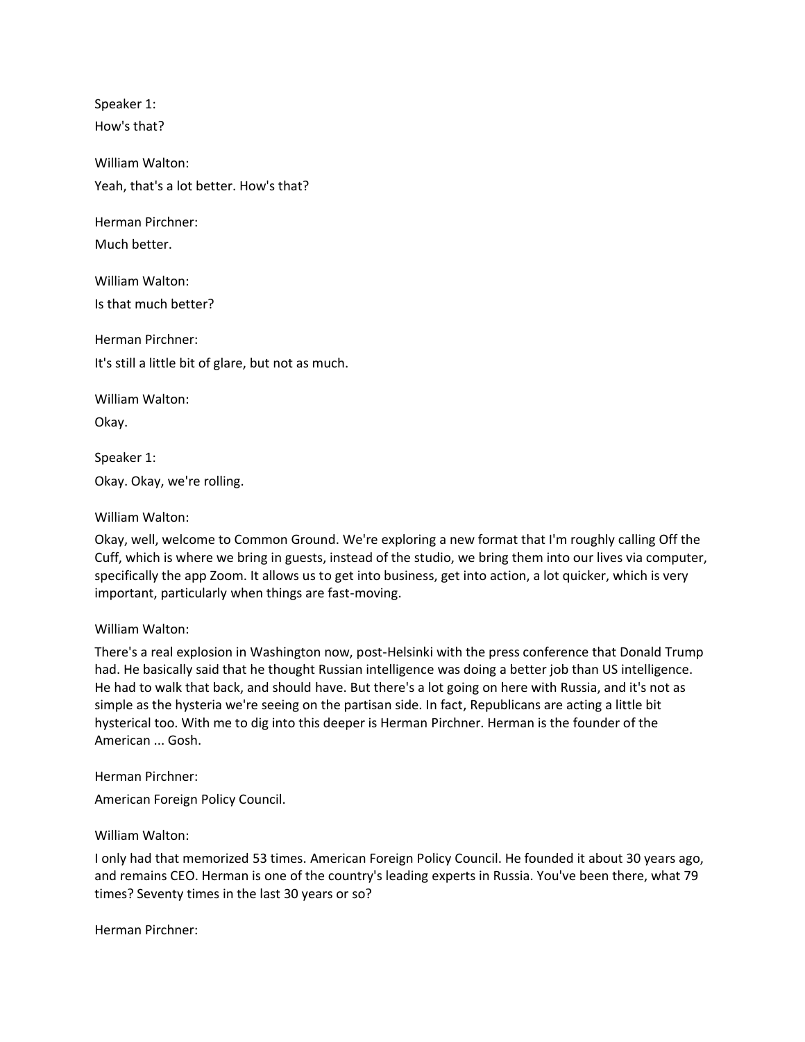Speaker 1: How's that?

William Walton: Yeah, that's a lot better. How's that?

Herman Pirchner:

Much better.

William Walton:

Is that much better?

Herman Pirchner: It's still a little bit of glare, but not as much.

William Walton:

Okay.

Speaker 1: Okay. Okay, we're rolling.

# William Walton:

Okay, well, welcome to Common Ground. We're exploring a new format that I'm roughly calling Off the Cuff, which is where we bring in guests, instead of the studio, we bring them into our lives via computer, specifically the app Zoom. It allows us to get into business, get into action, a lot quicker, which is very important, particularly when things are fast-moving.

## William Walton:

There's a real explosion in Washington now, post-Helsinki with the press conference that Donald Trump had. He basically said that he thought Russian intelligence was doing a better job than US intelligence. He had to walk that back, and should have. But there's a lot going on here with Russia, and it's not as simple as the hysteria we're seeing on the partisan side. In fact, Republicans are acting a little bit hysterical too. With me to dig into this deeper is Herman Pirchner. Herman is the founder of the American ... Gosh.

Herman Pirchner: American Foreign Policy Council.

William Walton:

I only had that memorized 53 times. American Foreign Policy Council. He founded it about 30 years ago, and remains CEO. Herman is one of the country's leading experts in Russia. You've been there, what 79 times? Seventy times in the last 30 years or so?

Herman Pirchner: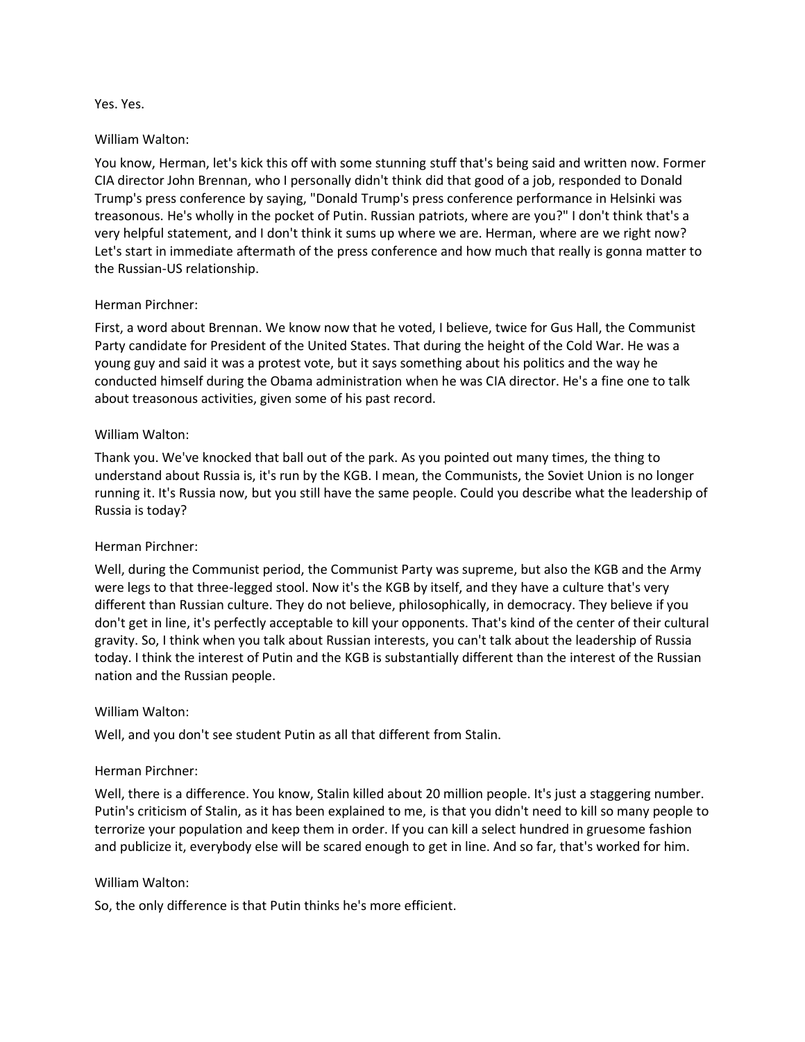#### Yes. Yes.

### William Walton:

You know, Herman, let's kick this off with some stunning stuff that's being said and written now. Former CIA director John Brennan, who I personally didn't think did that good of a job, responded to Donald Trump's press conference by saying, "Donald Trump's press conference performance in Helsinki was treasonous. He's wholly in the pocket of Putin. Russian patriots, where are you?" I don't think that's a very helpful statement, and I don't think it sums up where we are. Herman, where are we right now? Let's start in immediate aftermath of the press conference and how much that really is gonna matter to the Russian-US relationship.

## Herman Pirchner:

First, a word about Brennan. We know now that he voted, I believe, twice for Gus Hall, the Communist Party candidate for President of the United States. That during the height of the Cold War. He was a young guy and said it was a protest vote, but it says something about his politics and the way he conducted himself during the Obama administration when he was CIA director. He's a fine one to talk about treasonous activities, given some of his past record.

### William Walton:

Thank you. We've knocked that ball out of the park. As you pointed out many times, the thing to understand about Russia is, it's run by the KGB. I mean, the Communists, the Soviet Union is no longer running it. It's Russia now, but you still have the same people. Could you describe what the leadership of Russia is today?

## Herman Pirchner:

Well, during the Communist period, the Communist Party was supreme, but also the KGB and the Army were legs to that three-legged stool. Now it's the KGB by itself, and they have a culture that's very different than Russian culture. They do not believe, philosophically, in democracy. They believe if you don't get in line, it's perfectly acceptable to kill your opponents. That's kind of the center of their cultural gravity. So, I think when you talk about Russian interests, you can't talk about the leadership of Russia today. I think the interest of Putin and the KGB is substantially different than the interest of the Russian nation and the Russian people.

#### William Walton:

Well, and you don't see student Putin as all that different from Stalin.

## Herman Pirchner:

Well, there is a difference. You know, Stalin killed about 20 million people. It's just a staggering number. Putin's criticism of Stalin, as it has been explained to me, is that you didn't need to kill so many people to terrorize your population and keep them in order. If you can kill a select hundred in gruesome fashion and publicize it, everybody else will be scared enough to get in line. And so far, that's worked for him.

## William Walton:

So, the only difference is that Putin thinks he's more efficient.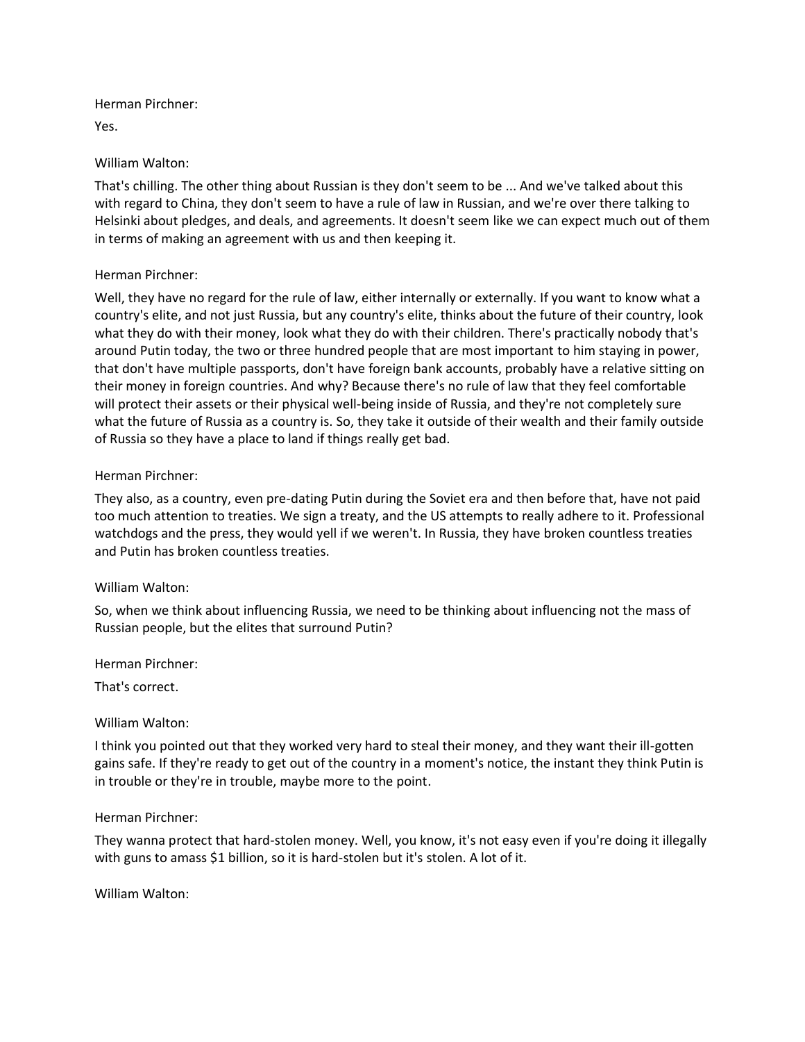Herman Pirchner:

Yes.

William Walton:

That's chilling. The other thing about Russian is they don't seem to be ... And we've talked about this with regard to China, they don't seem to have a rule of law in Russian, and we're over there talking to Helsinki about pledges, and deals, and agreements. It doesn't seem like we can expect much out of them in terms of making an agreement with us and then keeping it.

# Herman Pirchner:

Well, they have no regard for the rule of law, either internally or externally. If you want to know what a country's elite, and not just Russia, but any country's elite, thinks about the future of their country, look what they do with their money, look what they do with their children. There's practically nobody that's around Putin today, the two or three hundred people that are most important to him staying in power, that don't have multiple passports, don't have foreign bank accounts, probably have a relative sitting on their money in foreign countries. And why? Because there's no rule of law that they feel comfortable will protect their assets or their physical well-being inside of Russia, and they're not completely sure what the future of Russia as a country is. So, they take it outside of their wealth and their family outside of Russia so they have a place to land if things really get bad.

# Herman Pirchner:

They also, as a country, even pre-dating Putin during the Soviet era and then before that, have not paid too much attention to treaties. We sign a treaty, and the US attempts to really adhere to it. Professional watchdogs and the press, they would yell if we weren't. In Russia, they have broken countless treaties and Putin has broken countless treaties.

## William Walton:

So, when we think about influencing Russia, we need to be thinking about influencing not the mass of Russian people, but the elites that surround Putin?

Herman Pirchner:

That's correct.

## William Walton:

I think you pointed out that they worked very hard to steal their money, and they want their ill-gotten gains safe. If they're ready to get out of the country in a moment's notice, the instant they think Putin is in trouble or they're in trouble, maybe more to the point.

## Herman Pirchner:

They wanna protect that hard-stolen money. Well, you know, it's not easy even if you're doing it illegally with guns to amass \$1 billion, so it is hard-stolen but it's stolen. A lot of it.

William Walton: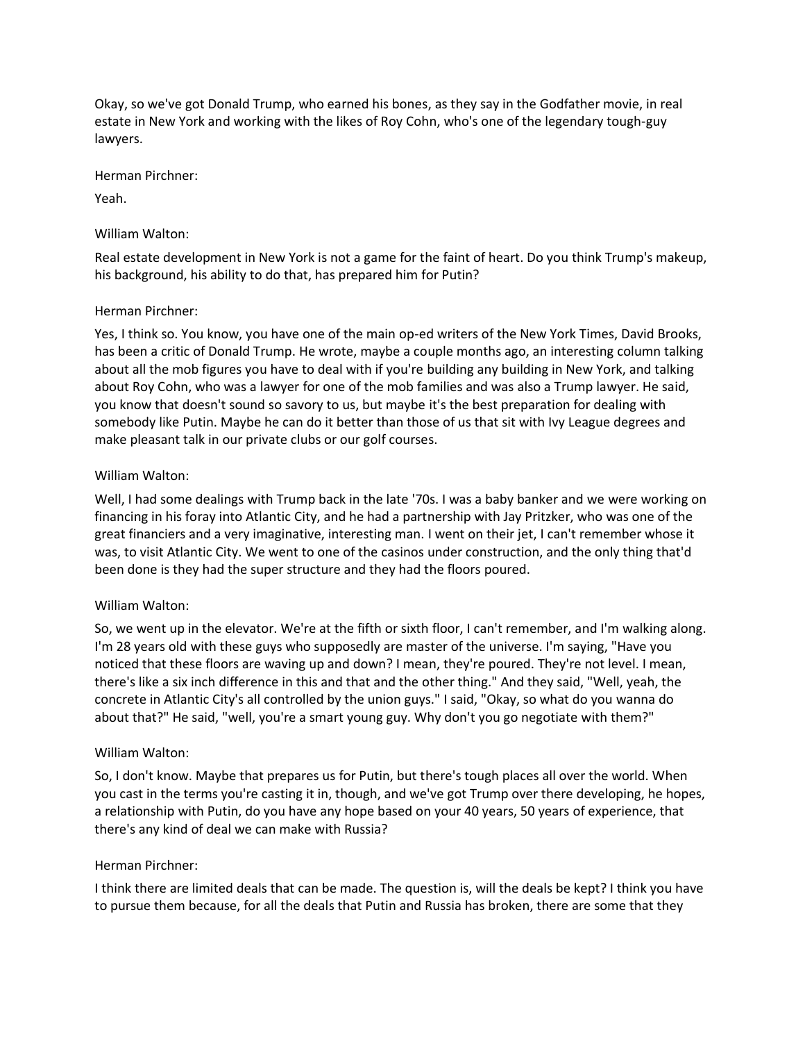Okay, so we've got Donald Trump, who earned his bones, as they say in the Godfather movie, in real estate in New York and working with the likes of Roy Cohn, who's one of the legendary tough-guy lawyers.

Herman Pirchner:

Yeah.

### William Walton:

Real estate development in New York is not a game for the faint of heart. Do you think Trump's makeup, his background, his ability to do that, has prepared him for Putin?

### Herman Pirchner:

Yes, I think so. You know, you have one of the main op-ed writers of the New York Times, David Brooks, has been a critic of Donald Trump. He wrote, maybe a couple months ago, an interesting column talking about all the mob figures you have to deal with if you're building any building in New York, and talking about Roy Cohn, who was a lawyer for one of the mob families and was also a Trump lawyer. He said, you know that doesn't sound so savory to us, but maybe it's the best preparation for dealing with somebody like Putin. Maybe he can do it better than those of us that sit with Ivy League degrees and make pleasant talk in our private clubs or our golf courses.

### William Walton:

Well, I had some dealings with Trump back in the late '70s. I was a baby banker and we were working on financing in his foray into Atlantic City, and he had a partnership with Jay Pritzker, who was one of the great financiers and a very imaginative, interesting man. I went on their jet, I can't remember whose it was, to visit Atlantic City. We went to one of the casinos under construction, and the only thing that'd been done is they had the super structure and they had the floors poured.

## William Walton:

So, we went up in the elevator. We're at the fifth or sixth floor, I can't remember, and I'm walking along. I'm 28 years old with these guys who supposedly are master of the universe. I'm saying, "Have you noticed that these floors are waving up and down? I mean, they're poured. They're not level. I mean, there's like a six inch difference in this and that and the other thing." And they said, "Well, yeah, the concrete in Atlantic City's all controlled by the union guys." I said, "Okay, so what do you wanna do about that?" He said, "well, you're a smart young guy. Why don't you go negotiate with them?"

## William Walton:

So, I don't know. Maybe that prepares us for Putin, but there's tough places all over the world. When you cast in the terms you're casting it in, though, and we've got Trump over there developing, he hopes, a relationship with Putin, do you have any hope based on your 40 years, 50 years of experience, that there's any kind of deal we can make with Russia?

## Herman Pirchner:

I think there are limited deals that can be made. The question is, will the deals be kept? I think you have to pursue them because, for all the deals that Putin and Russia has broken, there are some that they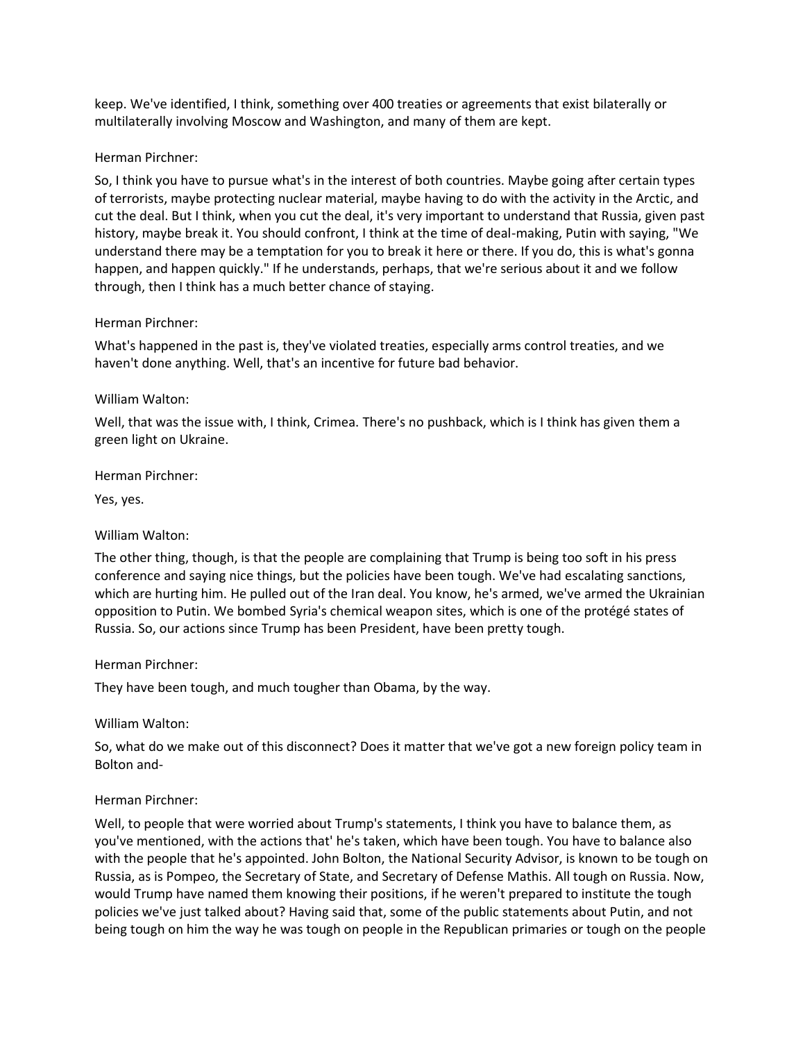keep. We've identified, I think, something over 400 treaties or agreements that exist bilaterally or multilaterally involving Moscow and Washington, and many of them are kept.

### Herman Pirchner:

So, I think you have to pursue what's in the interest of both countries. Maybe going after certain types of terrorists, maybe protecting nuclear material, maybe having to do with the activity in the Arctic, and cut the deal. But I think, when you cut the deal, it's very important to understand that Russia, given past history, maybe break it. You should confront, I think at the time of deal-making, Putin with saying, "We understand there may be a temptation for you to break it here or there. If you do, this is what's gonna happen, and happen quickly." If he understands, perhaps, that we're serious about it and we follow through, then I think has a much better chance of staying.

## Herman Pirchner:

What's happened in the past is, they've violated treaties, especially arms control treaties, and we haven't done anything. Well, that's an incentive for future bad behavior.

### William Walton:

Well, that was the issue with, I think, Crimea. There's no pushback, which is I think has given them a green light on Ukraine.

### Herman Pirchner:

Yes, yes.

## William Walton:

The other thing, though, is that the people are complaining that Trump is being too soft in his press conference and saying nice things, but the policies have been tough. We've had escalating sanctions, which are hurting him. He pulled out of the Iran deal. You know, he's armed, we've armed the Ukrainian opposition to Putin. We bombed Syria's chemical weapon sites, which is one of the protégé states of Russia. So, our actions since Trump has been President, have been pretty tough.

#### Herman Pirchner:

They have been tough, and much tougher than Obama, by the way.

#### William Walton:

So, what do we make out of this disconnect? Does it matter that we've got a new foreign policy team in Bolton and-

## Herman Pirchner:

Well, to people that were worried about Trump's statements, I think you have to balance them, as you've mentioned, with the actions that' he's taken, which have been tough. You have to balance also with the people that he's appointed. John Bolton, the National Security Advisor, is known to be tough on Russia, as is Pompeo, the Secretary of State, and Secretary of Defense Mathis. All tough on Russia. Now, would Trump have named them knowing their positions, if he weren't prepared to institute the tough policies we've just talked about? Having said that, some of the public statements about Putin, and not being tough on him the way he was tough on people in the Republican primaries or tough on the people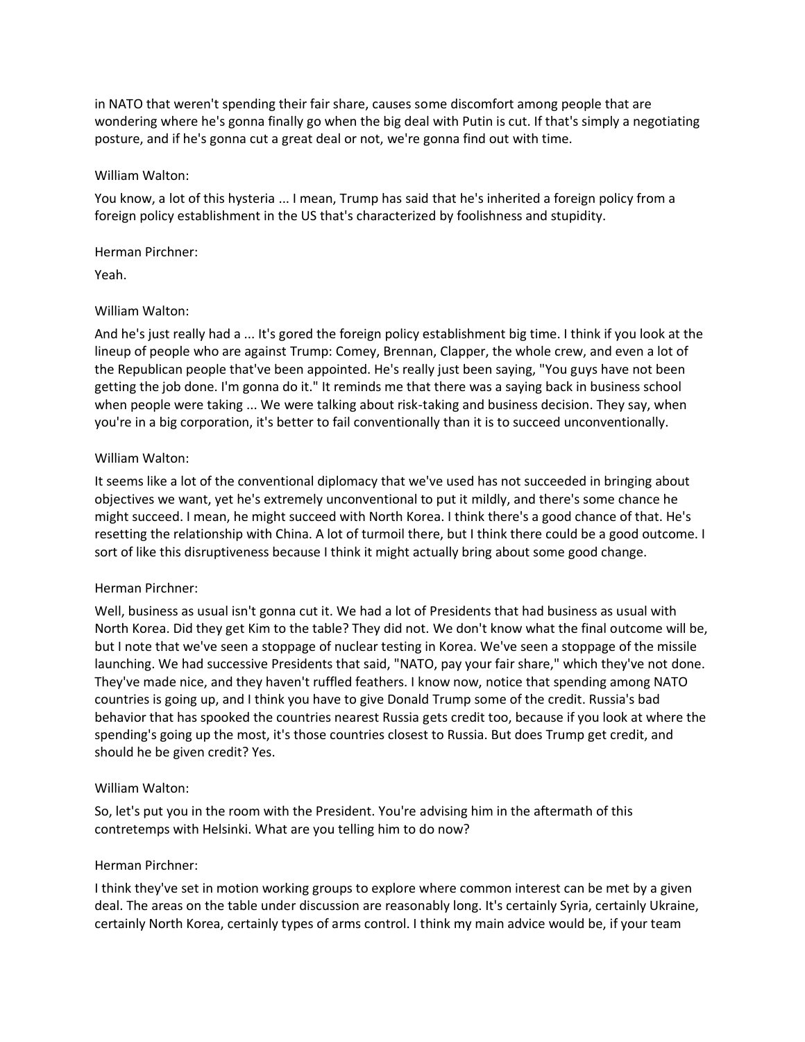in NATO that weren't spending their fair share, causes some discomfort among people that are wondering where he's gonna finally go when the big deal with Putin is cut. If that's simply a negotiating posture, and if he's gonna cut a great deal or not, we're gonna find out with time.

#### William Walton:

You know, a lot of this hysteria ... I mean, Trump has said that he's inherited a foreign policy from a foreign policy establishment in the US that's characterized by foolishness and stupidity.

### Herman Pirchner:

Yeah.

## William Walton:

And he's just really had a ... It's gored the foreign policy establishment big time. I think if you look at the lineup of people who are against Trump: Comey, Brennan, Clapper, the whole crew, and even a lot of the Republican people that've been appointed. He's really just been saying, "You guys have not been getting the job done. I'm gonna do it." It reminds me that there was a saying back in business school when people were taking ... We were talking about risk-taking and business decision. They say, when you're in a big corporation, it's better to fail conventionally than it is to succeed unconventionally.

### William Walton:

It seems like a lot of the conventional diplomacy that we've used has not succeeded in bringing about objectives we want, yet he's extremely unconventional to put it mildly, and there's some chance he might succeed. I mean, he might succeed with North Korea. I think there's a good chance of that. He's resetting the relationship with China. A lot of turmoil there, but I think there could be a good outcome. I sort of like this disruptiveness because I think it might actually bring about some good change.

## Herman Pirchner:

Well, business as usual isn't gonna cut it. We had a lot of Presidents that had business as usual with North Korea. Did they get Kim to the table? They did not. We don't know what the final outcome will be, but I note that we've seen a stoppage of nuclear testing in Korea. We've seen a stoppage of the missile launching. We had successive Presidents that said, "NATO, pay your fair share," which they've not done. They've made nice, and they haven't ruffled feathers. I know now, notice that spending among NATO countries is going up, and I think you have to give Donald Trump some of the credit. Russia's bad behavior that has spooked the countries nearest Russia gets credit too, because if you look at where the spending's going up the most, it's those countries closest to Russia. But does Trump get credit, and should he be given credit? Yes.

## William Walton:

So, let's put you in the room with the President. You're advising him in the aftermath of this contretemps with Helsinki. What are you telling him to do now?

#### Herman Pirchner:

I think they've set in motion working groups to explore where common interest can be met by a given deal. The areas on the table under discussion are reasonably long. It's certainly Syria, certainly Ukraine, certainly North Korea, certainly types of arms control. I think my main advice would be, if your team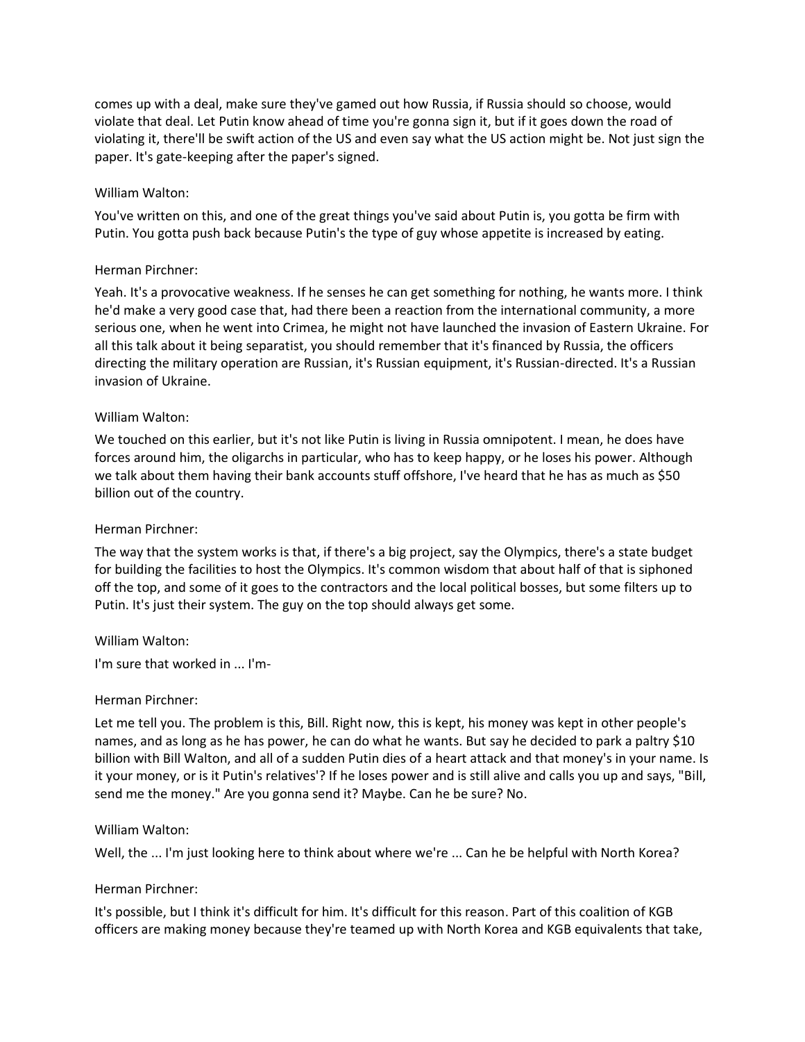comes up with a deal, make sure they've gamed out how Russia, if Russia should so choose, would violate that deal. Let Putin know ahead of time you're gonna sign it, but if it goes down the road of violating it, there'll be swift action of the US and even say what the US action might be. Not just sign the paper. It's gate-keeping after the paper's signed.

#### William Walton:

You've written on this, and one of the great things you've said about Putin is, you gotta be firm with Putin. You gotta push back because Putin's the type of guy whose appetite is increased by eating.

### Herman Pirchner:

Yeah. It's a provocative weakness. If he senses he can get something for nothing, he wants more. I think he'd make a very good case that, had there been a reaction from the international community, a more serious one, when he went into Crimea, he might not have launched the invasion of Eastern Ukraine. For all this talk about it being separatist, you should remember that it's financed by Russia, the officers directing the military operation are Russian, it's Russian equipment, it's Russian-directed. It's a Russian invasion of Ukraine.

### William Walton:

We touched on this earlier, but it's not like Putin is living in Russia omnipotent. I mean, he does have forces around him, the oligarchs in particular, who has to keep happy, or he loses his power. Although we talk about them having their bank accounts stuff offshore, I've heard that he has as much as \$50 billion out of the country.

#### Herman Pirchner:

The way that the system works is that, if there's a big project, say the Olympics, there's a state budget for building the facilities to host the Olympics. It's common wisdom that about half of that is siphoned off the top, and some of it goes to the contractors and the local political bosses, but some filters up to Putin. It's just their system. The guy on the top should always get some.

#### William Walton:

I'm sure that worked in ... I'm-

#### Herman Pirchner:

Let me tell you. The problem is this, Bill. Right now, this is kept, his money was kept in other people's names, and as long as he has power, he can do what he wants. But say he decided to park a paltry \$10 billion with Bill Walton, and all of a sudden Putin dies of a heart attack and that money's in your name. Is it your money, or is it Putin's relatives'? If he loses power and is still alive and calls you up and says, "Bill, send me the money." Are you gonna send it? Maybe. Can he be sure? No.

#### William Walton:

Well, the ... I'm just looking here to think about where we're ... Can he be helpful with North Korea?

## Herman Pirchner:

It's possible, but I think it's difficult for him. It's difficult for this reason. Part of this coalition of KGB officers are making money because they're teamed up with North Korea and KGB equivalents that take,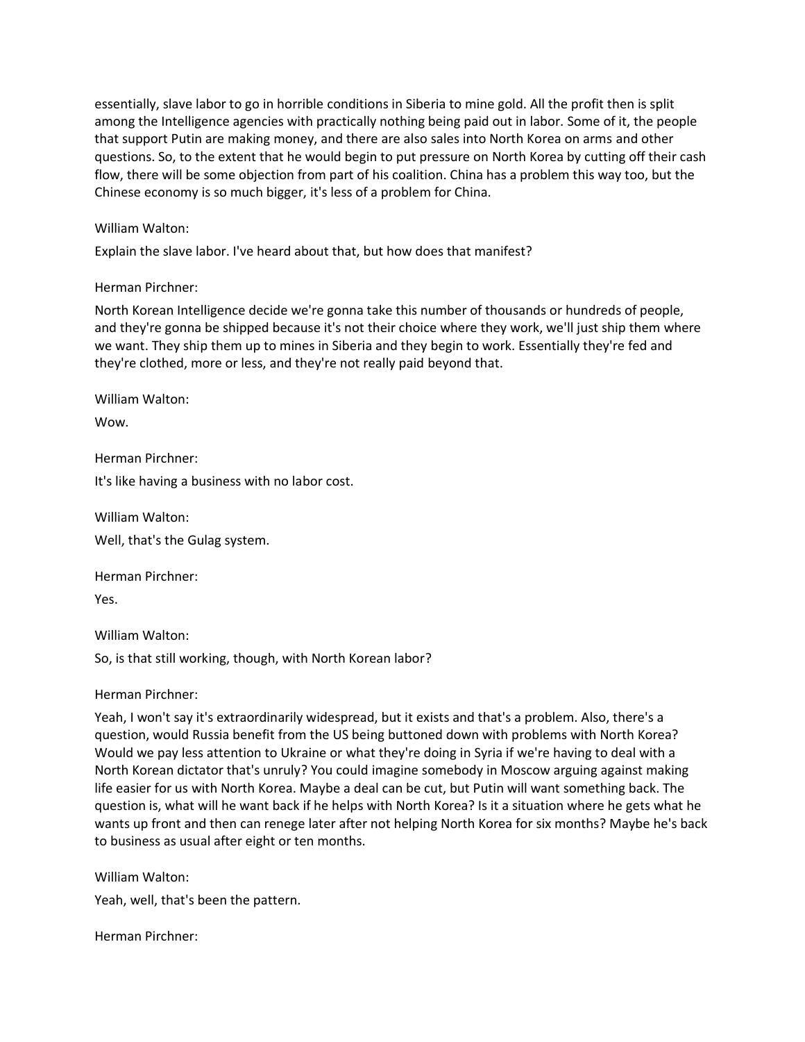essentially, slave labor to go in horrible conditions in Siberia to mine gold. All the profit then is split among the Intelligence agencies with practically nothing being paid out in labor. Some of it, the people that support Putin are making money, and there are also sales into North Korea on arms and other questions. So, to the extent that he would begin to put pressure on North Korea by cutting off their cash flow, there will be some objection from part of his coalition. China has a problem this way too, but the Chinese economy is so much bigger, it's less of a problem for China.

### William Walton:

Explain the slave labor. I've heard about that, but how does that manifest?

### Herman Pirchner:

North Korean Intelligence decide we're gonna take this number of thousands or hundreds of people, and they're gonna be shipped because it's not their choice where they work, we'll just ship them where we want. They ship them up to mines in Siberia and they begin to work. Essentially they're fed and they're clothed, more or less, and they're not really paid beyond that.

William Walton:

Wow.

Herman Pirchner:

It's like having a business with no labor cost.

William Walton: Well, that's the Gulag system.

Herman Pirchner:

Yes.

William Walton:

So, is that still working, though, with North Korean labor?

Herman Pirchner:

Yeah, I won't say it's extraordinarily widespread, but it exists and that's a problem. Also, there's a question, would Russia benefit from the US being buttoned down with problems with North Korea? Would we pay less attention to Ukraine or what they're doing in Syria if we're having to deal with a North Korean dictator that's unruly? You could imagine somebody in Moscow arguing against making life easier for us with North Korea. Maybe a deal can be cut, but Putin will want something back. The question is, what will he want back if he helps with North Korea? Is it a situation where he gets what he wants up front and then can renege later after not helping North Korea for six months? Maybe he's back to business as usual after eight or ten months.

William Walton:

Yeah, well, that's been the pattern.

Herman Pirchner: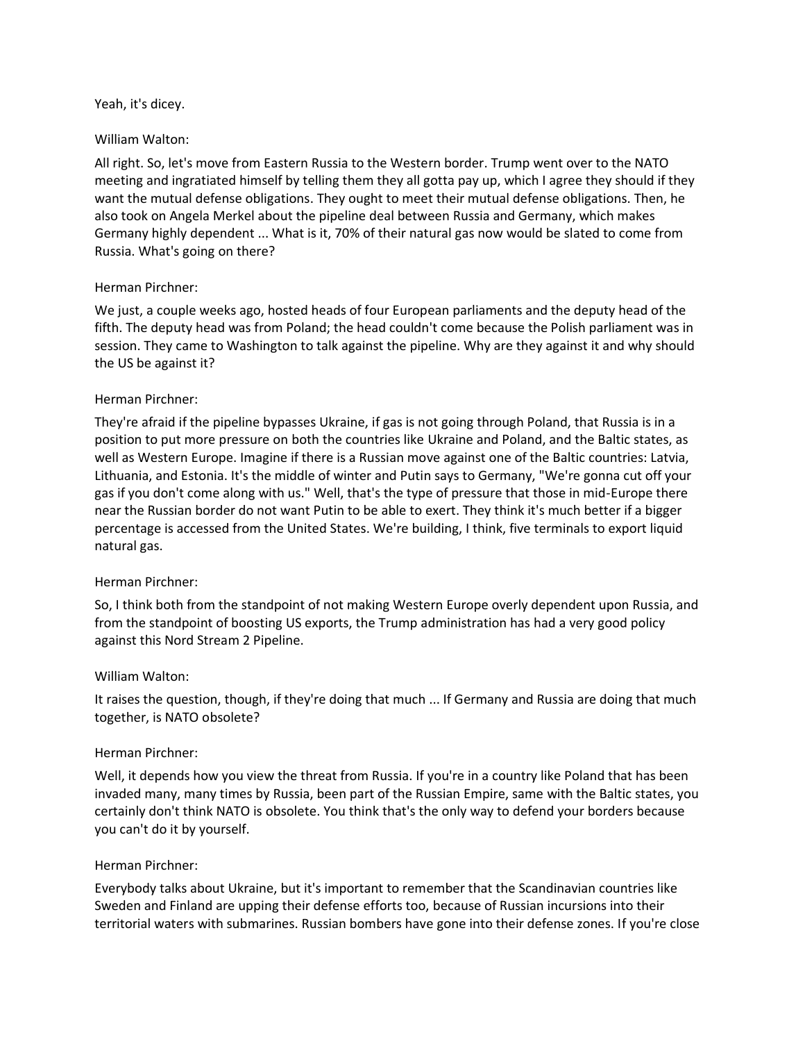#### Yeah, it's dicey.

### William Walton:

All right. So, let's move from Eastern Russia to the Western border. Trump went over to the NATO meeting and ingratiated himself by telling them they all gotta pay up, which I agree they should if they want the mutual defense obligations. They ought to meet their mutual defense obligations. Then, he also took on Angela Merkel about the pipeline deal between Russia and Germany, which makes Germany highly dependent ... What is it, 70% of their natural gas now would be slated to come from Russia. What's going on there?

## Herman Pirchner:

We just, a couple weeks ago, hosted heads of four European parliaments and the deputy head of the fifth. The deputy head was from Poland; the head couldn't come because the Polish parliament was in session. They came to Washington to talk against the pipeline. Why are they against it and why should the US be against it?

## Herman Pirchner:

They're afraid if the pipeline bypasses Ukraine, if gas is not going through Poland, that Russia is in a position to put more pressure on both the countries like Ukraine and Poland, and the Baltic states, as well as Western Europe. Imagine if there is a Russian move against one of the Baltic countries: Latvia, Lithuania, and Estonia. It's the middle of winter and Putin says to Germany, "We're gonna cut off your gas if you don't come along with us." Well, that's the type of pressure that those in mid-Europe there near the Russian border do not want Putin to be able to exert. They think it's much better if a bigger percentage is accessed from the United States. We're building, I think, five terminals to export liquid natural gas.

## Herman Pirchner:

So, I think both from the standpoint of not making Western Europe overly dependent upon Russia, and from the standpoint of boosting US exports, the Trump administration has had a very good policy against this Nord Stream 2 Pipeline.

## William Walton:

It raises the question, though, if they're doing that much ... If Germany and Russia are doing that much together, is NATO obsolete?

## Herman Pirchner:

Well, it depends how you view the threat from Russia. If you're in a country like Poland that has been invaded many, many times by Russia, been part of the Russian Empire, same with the Baltic states, you certainly don't think NATO is obsolete. You think that's the only way to defend your borders because you can't do it by yourself.

#### Herman Pirchner:

Everybody talks about Ukraine, but it's important to remember that the Scandinavian countries like Sweden and Finland are upping their defense efforts too, because of Russian incursions into their territorial waters with submarines. Russian bombers have gone into their defense zones. If you're close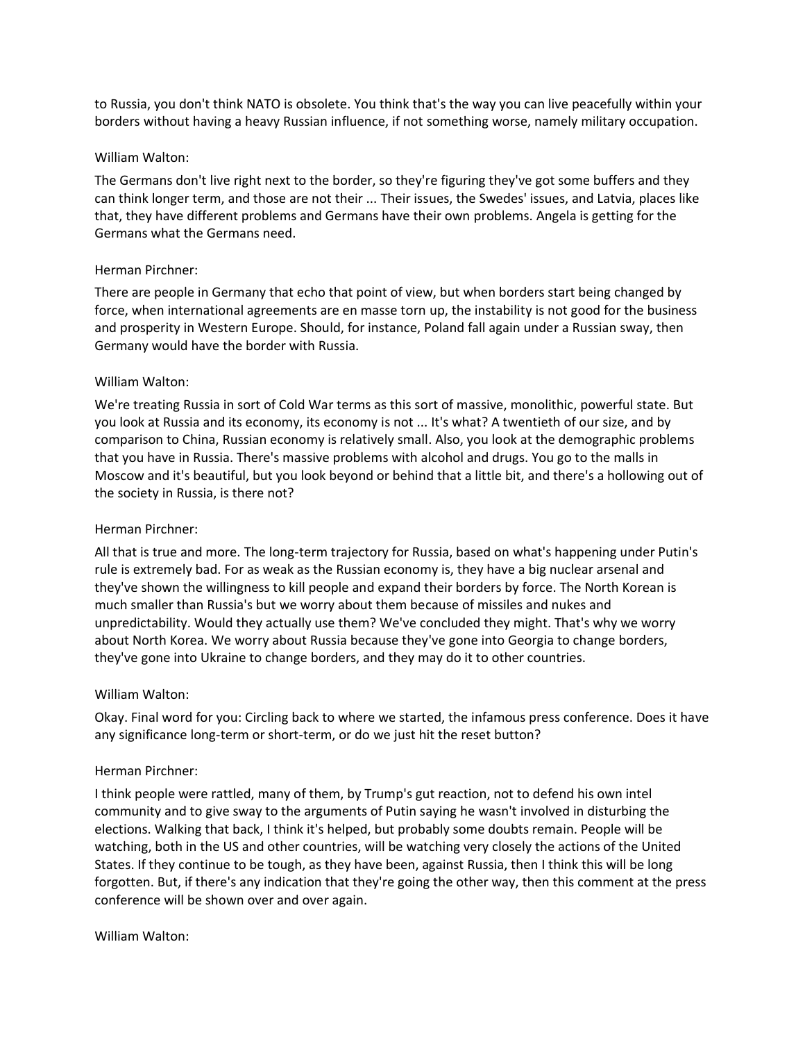to Russia, you don't think NATO is obsolete. You think that's the way you can live peacefully within your borders without having a heavy Russian influence, if not something worse, namely military occupation.

### William Walton:

The Germans don't live right next to the border, so they're figuring they've got some buffers and they can think longer term, and those are not their ... Their issues, the Swedes' issues, and Latvia, places like that, they have different problems and Germans have their own problems. Angela is getting for the Germans what the Germans need.

## Herman Pirchner:

There are people in Germany that echo that point of view, but when borders start being changed by force, when international agreements are en masse torn up, the instability is not good for the business and prosperity in Western Europe. Should, for instance, Poland fall again under a Russian sway, then Germany would have the border with Russia.

## William Walton:

We're treating Russia in sort of Cold War terms as this sort of massive, monolithic, powerful state. But you look at Russia and its economy, its economy is not ... It's what? A twentieth of our size, and by comparison to China, Russian economy is relatively small. Also, you look at the demographic problems that you have in Russia. There's massive problems with alcohol and drugs. You go to the malls in Moscow and it's beautiful, but you look beyond or behind that a little bit, and there's a hollowing out of the society in Russia, is there not?

## Herman Pirchner:

All that is true and more. The long-term trajectory for Russia, based on what's happening under Putin's rule is extremely bad. For as weak as the Russian economy is, they have a big nuclear arsenal and they've shown the willingness to kill people and expand their borders by force. The North Korean is much smaller than Russia's but we worry about them because of missiles and nukes and unpredictability. Would they actually use them? We've concluded they might. That's why we worry about North Korea. We worry about Russia because they've gone into Georgia to change borders, they've gone into Ukraine to change borders, and they may do it to other countries.

#### William Walton:

Okay. Final word for you: Circling back to where we started, the infamous press conference. Does it have any significance long-term or short-term, or do we just hit the reset button?

#### Herman Pirchner:

I think people were rattled, many of them, by Trump's gut reaction, not to defend his own intel community and to give sway to the arguments of Putin saying he wasn't involved in disturbing the elections. Walking that back, I think it's helped, but probably some doubts remain. People will be watching, both in the US and other countries, will be watching very closely the actions of the United States. If they continue to be tough, as they have been, against Russia, then I think this will be long forgotten. But, if there's any indication that they're going the other way, then this comment at the press conference will be shown over and over again.

#### William Walton: